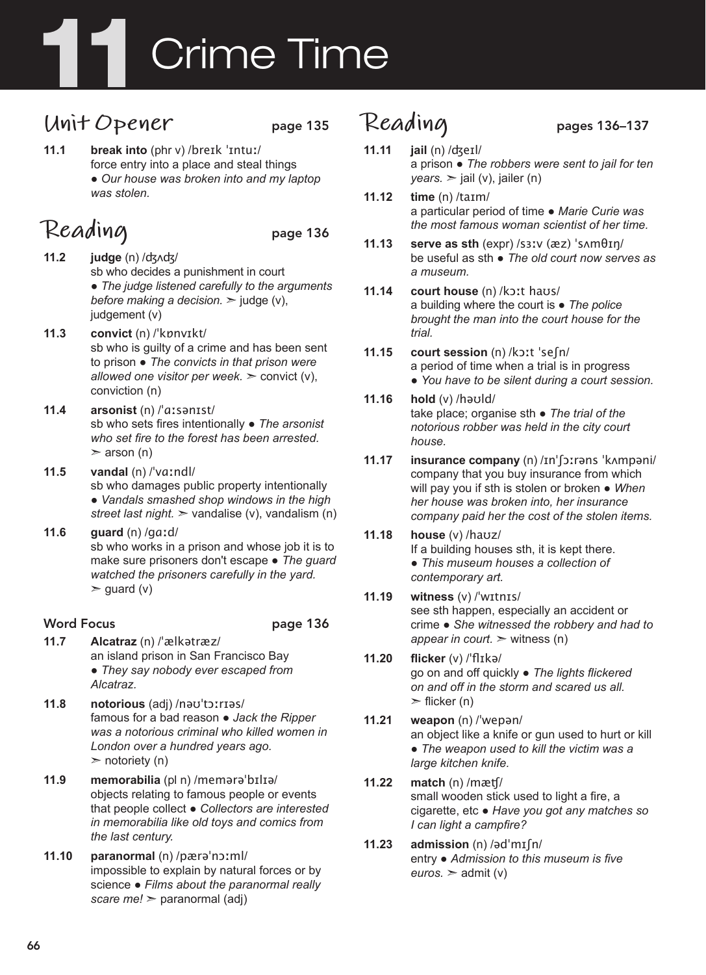# **Crime Time**

#### **Unit Opener** page 135

**11.1 break into** (phr v) /breɪk ˈɪntuː/ force entry into a place and steal things ● *Our house was broken into and my laptop was stolen.*

# Reading page 136

- **11.2 judge** (n) /ʤʌʤ/ sb who decides a punishment in court ● *The judge listened carefully to the arguments before making a decision.*  $\geq$  judge (v). judgement (v)
- **11.3 convict** (n) /ˈkɒnvɪkt/ sb who is guilty of a crime and has been sent to prison ● *The convicts in that prison were allowed one visitor per week.* ➣ convict (v), conviction (n)
- **11.4 arsonist** (n) /ˈɑːsənɪst/ sb who sets fires intentionally ● *The arsonist who set fire to the forest has been arrested.*   $\geq$  arson (n)
- **11.5 vandal** (n) /ˈvɑːndl/ sb who damages public property intentionally ● *Vandals smashed shop windows in the high street last night.* ➣ vandalise (v), vandalism (n)
- **11.6 guard** (n) /gɑːd/ sb who works in a prison and whose job it is to make sure prisoners don't escape ● *The guard watched the prisoners carefully in the yard.*   $\ge$  guard (v)

#### Word Focus **page 136**

- **11.7 Alcatraz** (n) /ˈælkətræz/ an island prison in San Francisco Bay ● *They say nobody ever escaped from Alcatraz.*
- **11.8 notorious** (adj) /nəʊˈtɔːrɪəs/ famous for a bad reason ● *Jack the Ripper was a notorious criminal who killed women in London over a hundred years ago.*   $\triangleright$  notoriety (n)
- **11.9 memorabilia** (pl n) /memərəˈbɪlɪə/ objects relating to famous people or events that people collect ● *Collectors are interested in memorabilia like old toys and comics from the last century.*
- **11.10 paranormal** (n) /pærəˈnɔːml/ impossible to explain by natural forces or by science ● *Films about the paranormal really scare me!* ➣ paranormal (adj)

# **Reading** pages 136–137

- **11.11 jail** (n) /ʤeɪl/ a prison ● *The robbers were sent to jail for ten*   $years.$   $\ge$  jail (v), jailer (n)
- **11.12 time** (n) /taɪm/ a particular period of time ● *Marie Curie was the most famous woman scientist of her time.*
- **11.13 serve as sth** (expr) /sɜːv (æz) ˈsʌmθɪŋ/ be useful as sth ● *The old court now serves as a museum.*
- **11.14 court house** (n) /kɔːt haʊs/ a building where the court is ● *The police brought the man into the court house for the trial.*
- **11.15 court session** (n) /kɔːt ˈseʃn/ a period of time when a trial is in progress ● *You have to be silent during a court session.*
- **11.16 hold** (v) /həʊld/ take place; organise sth ● *The trial of the notorious robber was held in the city court house.*
- **11.17 insurance company** (n) /ɪnˈʃɔːrəns ˈkʌmpəni/ company that you buy insurance from which will pay you if sth is stolen or broken ● *When her house was broken into, her insurance company paid her the cost of the stolen items.*
- **11.18 house** (v) /haʊz/ If a building houses sth, it is kept there. ● *This museum houses a collection of contemporary art.*
- **11.19 witness** (v) /ˈwɪtnɪs/ see sth happen, especially an accident or crime ● *She witnessed the robbery and had to appear in court.*  $\geq$  witness (n)
- **11.20 flicker** (v) /ˈflɪkə/ go on and off quickly ● *The lights flickered on and off in the storm and scared us all.*   $\blacktriangleright$  flicker (n)
- **11.21 weapon** (n) /ˈwepən/ an object like a knife or gun used to hurt or kill ● *The weapon used to kill the victim was a large kitchen knife.*
- **11.22 match** (n) /mæʧ/ small wooden stick used to light a fire, a cigarette, etc ● *Have you got any matches so I can light a campfire?*
- **11.23 admission** (n) /ədˈmɪʃn/ entry ● *Admission to this museum is five*   $euros.$   $\geq$  admit (v)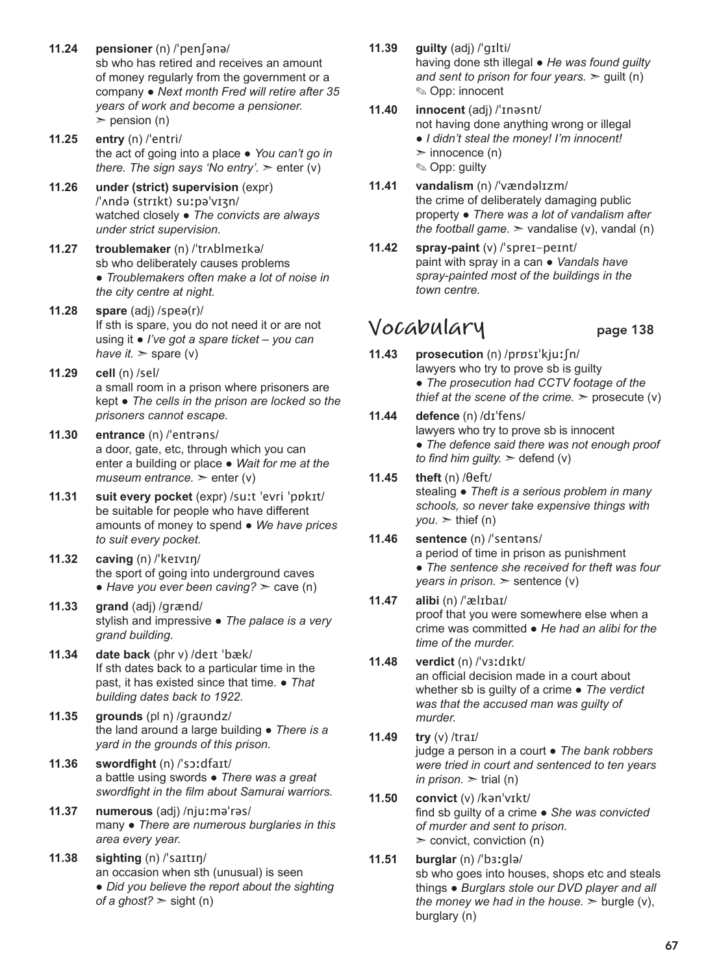- **11.24 pensioner** (n) /ˈpenʃənə/ sb who has retired and receives an amount of money regularly from the government or a company ● *Next month Fred will retire after 35 years of work and become a pensioner.*   $\ge$  pension (n)
- **11.25 entry** (n) /ˈentri/ the act of going into a place ● *You can't go in there. The sign says 'No entry'.*  $\geq$  enter (y)
- **11.26 under (strict) supervision** (expr) /ˈʌndə (strɪkt) suːpəˈvɪʒn/ watched closely ● *The convicts are always under strict supervision.*
- **11.27 troublemaker** (n) /ˈtrʌblmeɪkə/ sb who deliberately causes problems ● *Troublemakers often make a lot of noise in the city centre at night.*
- **11.28 spare** (adj) /speə(r)/ If sth is spare, you do not need it or are not using it ● *I've got a spare ticket – you can have it.*  $>$  spare (v)
- **11.29 cell** (n) /sel/ a small room in a prison where prisoners are kept ● *The cells in the prison are locked so the prisoners cannot escape.*
- **11.30 entrance** (n) /ˈentrəns/ a door, gate, etc, through which you can enter a building or place ● *Wait for me at the museum entrance.* > enter (v)
- **11.31 suit every pocket** (expr) /suːt ˈevri ˈpɒkɪt/ be suitable for people who have different amounts of money to spend ● *We have prices to suit every pocket.*
- **11.32 caving** (n) /ˈkeɪvɪŋ/ the sport of going into underground caves  $\bullet$  *Have you ever been caving?*  $\ge$  cave (n)
- **11.33 grand** (adj) /grænd/ stylish and impressive ● *The palace is a very grand building.*
- **11.34 date back** (phr v) /deɪt ˈbæk/ If sth dates back to a particular time in the past, it has existed since that time. ● *That building dates back to 1922.*
- **11.35 grounds** (pl n) /graʊndz/ the land around a large building ● *There is a yard in the grounds of this prison.*
- **11.36 swordfight** (n) /ˈsɔːdfaɪt/ a battle using swords ● *There was a great swordfight in the film about Samurai warriors.*
- **11.37 numerous** (adj) /njuːməˈrəs/ many ● *There are numerous burglaries in this area every year.*
- **11.38 sighting** (n) /ˈsaɪtɪŋ/ an occasion when sth (unusual) is seen ● *Did you believe the report about the sighting of a ghost?* ➣ sight (n)
- **11.39 guilty** (adj) /ˈɡɪlti/ having done sth illegal ● *He was found guilty and sent to prison for four years.*  $\ge$  quilt (n) ✎ Opp: innocent
- **11.40 innocent** (adj) /ˈɪnəsnt/ not having done anything wrong or illegal ● *I didn't steal the money! I'm innocent!*  $\triangleright$  innocence (n) ✎ Opp: guilty
- **11.41 vandalism** (n) /ˈvændəlɪzm/ the crime of deliberately damaging public property ● *There was a lot of vandalism after the football game.*  $>$  vandalise (v), vandal (n)
- **11.42 spray-paint** (v) /ˈspreɪ-peɪnt/ paint with spray in a can ● *Vandals have spray-painted most of the buildings in the town centre.*

#### **Vocabulary** page 138

- **11.43 prosecution** (n) /prɒsɪˈkjuːʃn/ lawyers who try to prove sb is guilty ● *The prosecution had CCTV footage of the thief at the scene of the crime.*  $\ge$  prosecute (v)
- **11.44 defence** (n) /dɪˈfens/ lawyers who try to prove sb is innocent ● *The defence said there was not enough proof to find him guilty.*  $\geq$  defend (v)
- **11.45 theft** (n) /θeft/ stealing ● *Theft is a serious problem in many schools, so never take expensive things with*   $you.$   $\geq$  thief (n)
- **11.46 sentence** (n) /ˈsentəns/ a period of time in prison as punishment ● *The sentence she received for theft was four years in prison.*  $\ge$  sentence (v)
- **11.47 alibi** (n) /ˈælɪbaɪ/ proof that you were somewhere else when a crime was committed ● *He had an alibi for the time of the murder.*
- **11.48 verdict** (n) /ˈvɜːdɪkt/ an official decision made in a court about whether sb is guilty of a crime ● *The verdict was that the accused man was guilty of murder.*
- **11.49 try** (v) /traɪ/ judge a person in a court ● *The bank robbers were tried in court and sentenced to ten years in prison.*  $\ge$  trial (n)
- **11.50 convict** (v) /kənˈvɪkt/ find sb guilty of a crime ● *She was convicted of murder and sent to prison.*   $\ge$  convict, conviction (n)
- **11.51 burglar** (n) /ˈbɜːglə/ sb who goes into houses, shops etc and steals things ● *Burglars stole our DVD player and all the money we had in the house.*  $\geq$  burgle (v), burglary (n)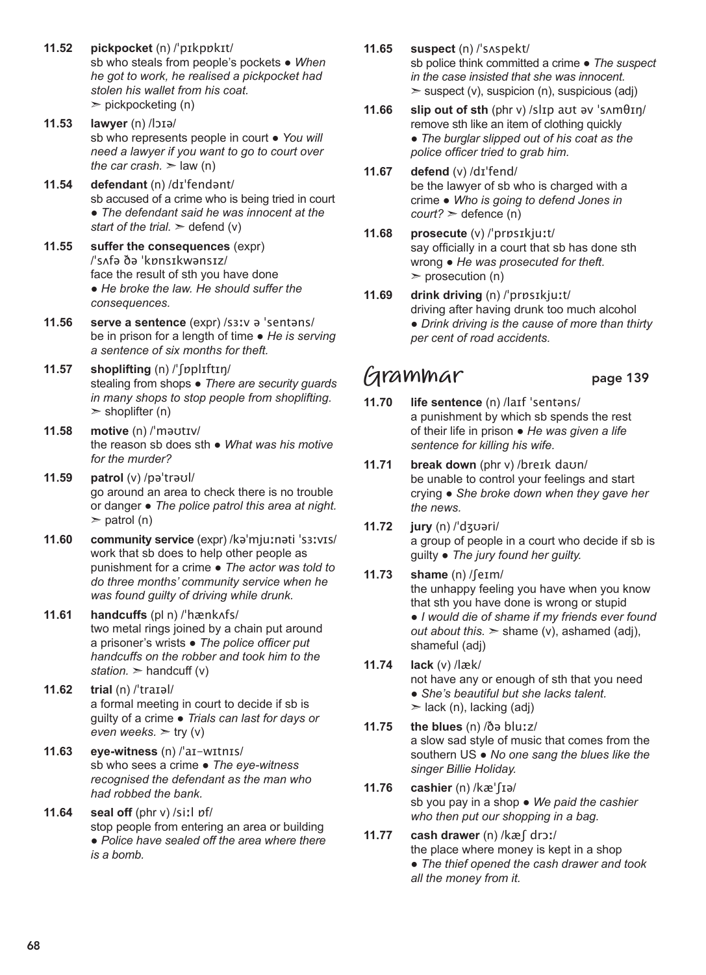- **11.52 pickpocket** (n) /ˈpɪkpɒkɪt/ sb who steals from people's pockets ● *When he got to work, he realised a pickpocket had stolen his wallet from his coat.*   $\geq$  pickpocketing (n)
- **11.53 lawyer** (n) /lɔɪə/ sb who represents people in court ● *You will need a lawyer if you want to go to court over the car crash.*  $>$  law (n)
- **11.54 defendant** (n) /dɪˈfendənt/ sb accused of a crime who is being tried in court ● *The defendant said he was innocent at the start of the trial.*  $\geq$  defend (v)
- **11.55 suffer the consequences** (expr) /ˈsʌfə ðə ˈkɒnsɪkwənsɪz/ face the result of sth you have done ● *He broke the law. He should suffer the consequences.*
- **11.56 serve a sentence** (expr) /sɜːv ə ˈsentəns/ be in prison for a length of time ● *He is serving a sentence of six months for theft.*
- **11.57 shoplifting** (n) /ˈʃɒplɪftɪŋ/ stealing from shops ● *There are security guards in many shops to stop people from shoplifting.*   $\ge$  shoplifter (n)
- **11.58 motive** (n) /ˈməʊtɪv/ the reason sb does sth ● *What was his motive for the murder?*
- **11.59 patrol** (v) /pəˈtrəʊl/ go around an area to check there is no trouble or danger ● *The police patrol this area at night.*   $\ge$  patrol (n)
- **11.60 community service** (expr) /kəˈmjuːnəti ˈsɜːvɪs/ work that sb does to help other people as punishment for a crime ● *The actor was told to do three months' community service when he was found guilty of driving while drunk.*
- **11.61 handcuffs** (pl n) /ˈhænkʌfs/ two metal rings joined by a chain put around a prisoner's wrists ● *The police officer put handcuffs on the robber and took him to the station.*  $\geq$  handcuff (v)
- **11.62 trial** (n) /ˈtraɪəl/ a formal meeting in court to decide if sb is guilty of a crime ● *Trials can last for days or even weeks.*  $>$  try (v)
- **11.63 eye-witness** (n) /ˈaɪ-wɪtnɪs/ sb who sees a crime ● *The eye-witness recognised the defendant as the man who had robbed the bank.*
- **11.64 seal off** (phr v) /siːl ɒf/ stop people from entering an area or building ● *Police have sealed off the area where there is a bomb.*
- **11.65 suspect** (n) /ˈsʌspekt/ sb police think committed a crime ● *The suspect in the case insisted that she was innocent.*   $\ge$  suspect (v), suspicion (n), suspicious (adj)
- **11.66 slip out of sth** (phr v) /slɪp aʊt əv ˈsʌmθɪŋ/ remove sth like an item of clothing quickly ● *The burglar slipped out of his coat as the police officer tried to grab him.*
- **11.67 defend** (v) /dɪˈfend/ be the lawyer of sb who is charged with a crime ● *Who is going to defend Jones in court?* ➣ defence (n)
- **11.68 prosecute** (v) /ˈprɒsɪkjuːt/ say officially in a court that sb has done sth wrong ● *He was prosecuted for theft.*   $\ge$  prosecution (n)
- **11.69 drink driving** (n) /ˈprɒsɪkjuːt/ driving after having drunk too much alcohol ● *Drink driving is the cause of more than thirty per cent of road accidents.*

#### **Grammar** page 139

- **11.70 life sentence** (n) /laɪf ˈsentəns/ a punishment by which sb spends the rest of their life in prison ● *He was given a life sentence for killing his wife.*
- **11.71 break down** (phr v) /breɪk daʊn/ be unable to control your feelings and start crying ● *She broke down when they gave her the news.*
- **11.72 jury** (n) /ˈdʒʊəri/ a group of people in a court who decide if sb is guilty ● *The jury found her guilty.*
- **11.73 shame** (n) /ʃeɪm/ the unhappy feeling you have when you know that sth you have done is wrong or stupid ● *I would die of shame if my friends ever found out about this.* ➣ shame (v), ashamed (adj), shameful (adj)
- **11.74 lack** (v) /læk/ not have any or enough of sth that you need ● *She's beautiful but she lacks talent.*  $\ge$  lack (n), lacking (adj)
- **11.75 the blues** (n) /ðə bluːz/ a slow sad style of music that comes from the southern US ● *No one sang the blues like the singer Billie Holiday.*
- **11.76 cashier** (n) /kæˈʃɪə/ sb you pay in a shop ● *We paid the cashier who then put our shopping in a bag.*
- **11.77 cash drawer** (n) /kæʃ drɔː/ the place where money is kept in a shop ● *The thief opened the cash drawer and took all the money from it.*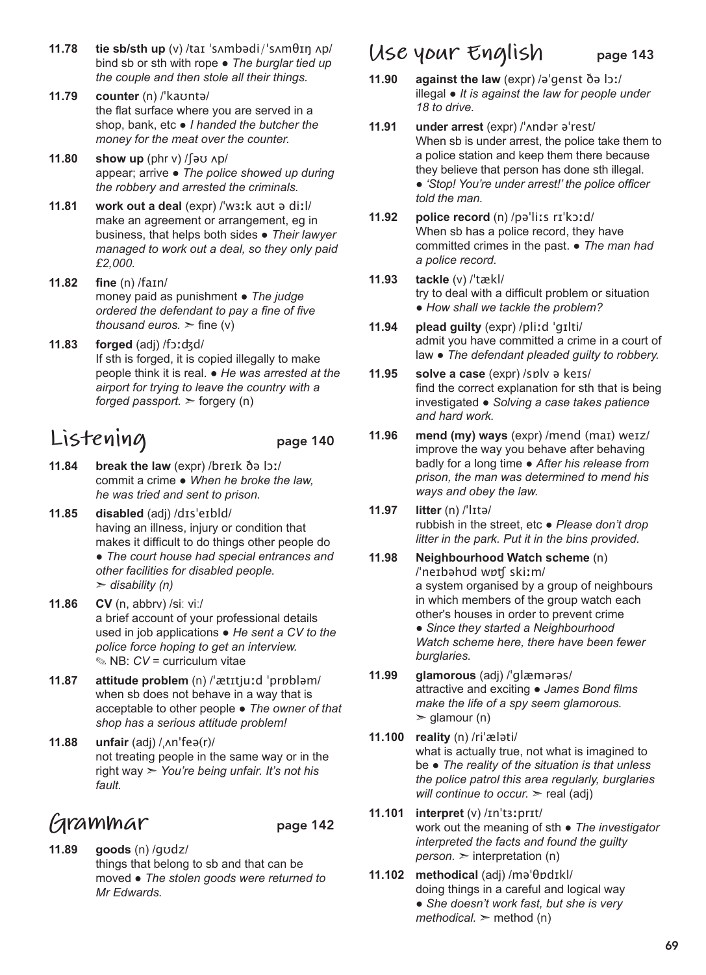- **11.78 tie sb/sth up** (v) /taɪ ˈsʌmbədi/ˈsʌmθɪŋ ʌp/ bind sb or sth with rope ● *The burglar tied up the couple and then stole all their things.*
- **11.79 counter** (n) /ˈkaʊntə/ the flat surface where you are served in a shop, bank, etc ● *I handed the butcher the money for the meat over the counter.*
- **11.80 show up** (phr v) /ʃəʊ ʌp/ appear; arrive ● *The police showed up during the robbery and arrested the criminals.*
- **11.81 work out a deal** (expr) /ˈwɜːk aʊt ə diːl/ make an agreement or arrangement, eg in business, that helps both sides ● *Their lawyer managed to work out a deal, so they only paid £2,000.*
- **11.82 fine** (n) /faɪn/ money paid as punishment ● *The judge ordered the defendant to pay a fine of five thousand euros.*  $\ge$  fine (v)
- **11.83 forged** (adj) /fɔːʤd/ If sth is forged, it is copied illegally to make people think it is real. ● *He was arrested at the airport for trying to leave the country with a forged passport.*  $\geq$  forgery (n)

## **Listening** page 140

- **11.84 break the law** (expr) /breɪk ðə lɔː/ commit a crime ● *When he broke the law, he was tried and sent to prison.*
- **11.85 disabled** (adj) /dɪsˈeɪbld/ having an illness, injury or condition that makes it difficult to do things other people do ● *The court house had special entrances and other facilities for disabled people.*  ➣ *disability (n)*
- **11.86 CV** (n, abbrv) /siː viː/ a brief account of your professional details used in job applications ● *He sent a CV to the police force hoping to get an interview.*  ✎ NB: *CV* = curriculum vitae
- **11.87 attitude problem** (n) /ˈætɪtjuːd ˈprɒbləm/ when sb does not behave in a way that is acceptable to other people ● *The owner of that shop has a serious attitude problem!*
- **11.88 unfair** (adj) /ˌʌnˈfeə(r)/ not treating people in the same way or in the right way ➣ *You're being unfair. It's not his fault.*

# **Grammar** page 142

**11.89 goods** (n) /ɡʊdz/ things that belong to sb and that can be moved ● *The stolen goods were returned to Mr Edwards.*

#### **Use your English** page 143

- **11.90 against the law** (expr) /əˈgenst ðə lɔː/ illegal ● *It is against the law for people under 18 to drive.*
- **11.91 under arrest** (expr) /ˈʌndər əˈrest/ When sb is under arrest, the police take them to a police station and keep them there because they believe that person has done sth illegal. ● *'Stop! You're under arrest!' the police officer told the man.*
- **11.92 police record** (n) /pəˈliːs rɪˈkɔːd/ When sb has a police record, they have committed crimes in the past. ● *The man had a police record.*
- **11.93 tackle** (v) /ˈtækl/ try to deal with a difficult problem or situation ● *How shall we tackle the problem?*
- **11.94 plead guilty** (expr) /pliːd ˈgɪlti/ admit you have committed a crime in a court of law ● *The defendant pleaded guilty to robbery.*
- **11.95 solve a case** (expr) /sɒlv ə keɪs/ find the correct explanation for sth that is being investigated ● *Solving a case takes patience and hard work.*
- **11.96 mend (my) ways** (expr) /mend (maɪ) weɪz/ improve the way you behave after behaving badly for a long time ● *After his release from prison, the man was determined to mend his ways and obey the law.*
- **11.97 litter** (n) /ˈlɪtə/ rubbish in the street, etc ● *Please don't drop litter in the park. Put it in the bins provided.*
- **11.98 Neighbourhood Watch scheme** (n) /ˈneɪbəhʊd wɒʧ skiːm/ a system organised by a group of neighbours in which members of the group watch each other's houses in order to prevent crime ● *Since they started a Neighbourhood Watch scheme here, there have been fewer burglaries.*
- **11.99 glamorous** (adj) /ˈglæmərəs/ attractive and exciting ● *James Bond films make the life of a spy seem glamorous.*   $\geq$  glamour (n)
- **11.100 reality** (n) /riˈæləti/ what is actually true, not what is imagined to be ● *The reality of the situation is that unless the police patrol this area regularly, burglaries will continue to occur.* > real (adj)
- **11.101 interpret** (v) /ɪnˈtɜːprɪt/ work out the meaning of sth ● *The investigator interpreted the facts and found the guilty*   $person.$   $\geq$  interpretation (n)
- **11.102 methodical** (adj) /məˈθɒdɪkl/ doing things in a careful and logical way ● *She doesn't work fast, but she is very methodical.* ➣ method (n)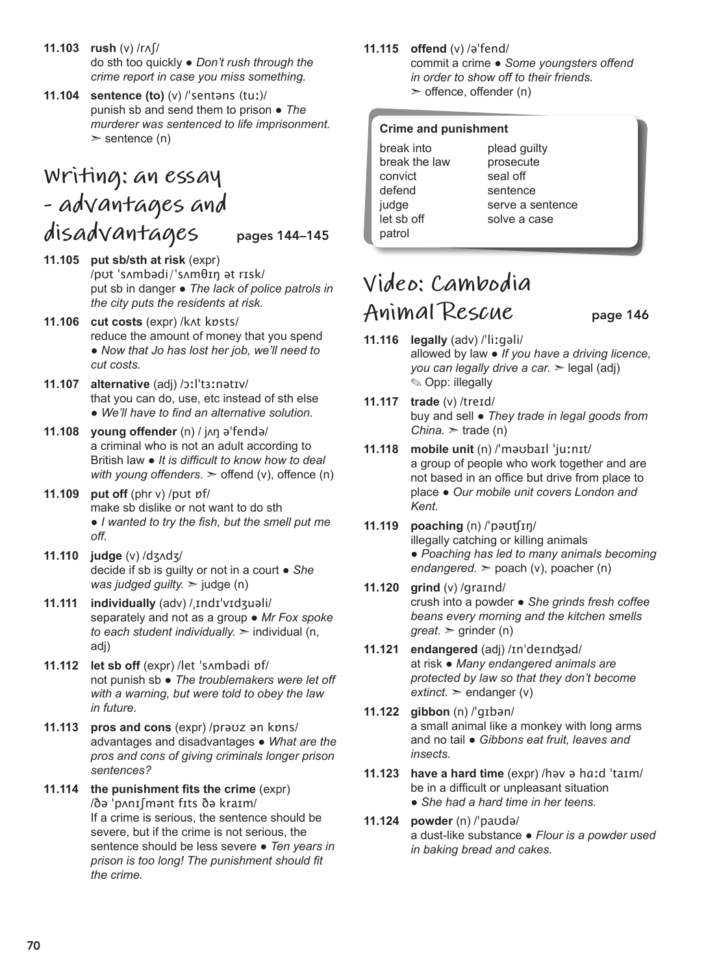- **11.103 rush** (v) /rʌʃ/ do sth too quickly ● *Don't rush through the crime report in case you miss something.*
- **11.104 sentence (to)** (v) /ˈsentəns (tuː)/ punish sb and send them to prison ● *The murderer was sentenced to life imprisonment.*   $\ge$  sentence (n)

## **Writing: an essay - advantages and disadvantages** pages 144–145

- **11.105 put sb/sth at risk** (expr) /pʊt ˈsʌmbədi/ˈsʌmθɪŋ ət rɪsk/ put sb in danger ● *The lack of police patrols in the city puts the residents at risk.*
- **11.106 cut costs** (expr) /kʌt kɒsts/ reduce the amount of money that you spend ● *Now that Jo has lost her job, we'll need to cut costs.*
- **11.107 alternative** (adj) /ɔːlˈtɜːnətɪv/ that you can do, use, etc instead of sth else ● *We'll have to find an alternative solution.*
- **11.108 young offender** (n) / jʌŋ əˈfendə/ a criminal who is not an adult according to British law ● *It is difficult to know how to deal with young offenders.*  $\geq$  offend (v), offence (n)
- **11.109 put off** (phr v) /pʊt ɒf/ make sb dislike or not want to do sth ● *I wanted to try the fish, but the smell put me off.*
- **11.110 judge** (v) /dʒʌdʒ/ decide if sb is guilty or not in a court ● *She was judged guilty.* ➣ judge (n)
- **11.111 individually** (adv) /ˌɪndɪˈvɪdʒuəli/ separately and not as a group ● *Mr Fox spoke to each student individually.* ➣ individual (n, adj)
- **11.112 let sb off** (expr) /let ˈsʌmbədi ɒf/ not punish sb ● *The troublemakers were let off with a warning, but were told to obey the law in future.*
- **11.113 pros and cons** (expr) /prəʊz ən kɒns/ advantages and disadvantages ● *What are the pros and cons of giving criminals longer prison sentences?*
- **11.114 the punishment fits the crime** (expr) /ðə ˈpʌnɪʃmənt fɪts ðə kraɪm/ If a crime is serious, the sentence should be severe, but if the crime is not serious, the sentence should be less severe ● *Ten years in prison is too long! The punishment should fit the crime.*

#### **11.115 offend** (v) /əˈfend/

commit a crime ● *Some youngsters offend in order to show off to their friends.*   $\geq$  offence, offender (n)

#### **Crime and punishment**

break into break the law convict defend judge let sb off patrol

plead guilty prosecute seal off sentence serve a sentence solve a case

# **Video: Cambodia**  Animal Rescue page 146

- **11.116 legally** (adv) /ˈliːgəli/ allowed by law ● *If you have a driving licence, you can legally drive a car.* > legal (adj) ✎ Opp: illegally
- **11.117 trade** (v) /treɪd/ buy and sell ● *They trade in legal goods from China.*  $>$  trade (n)
- **11.118 mobile unit** (n) /ˈməʊbaɪl ˈjuːnɪt/ a group of people who work together and are not based in an office but drive from place to place ● *Our mobile unit covers London and Kent.*
- **11.119 poaching** (n) /ˈpəʊʧɪŋ/ illegally catching or killing animals ● *Poaching has led to many animals becoming endangered.* ➣ poach (v), poacher (n)
- **11.120 grind** (v) /graɪnd/ crush into a powder ● *She grinds fresh coffee beans every morning and the kitchen smells*   $great.$   $\ge$  grinder (n)
- **11.121 endangered** (adj) /ɪnˈdeɪnʤəd/ at risk ● *Many endangered animals are protected by law so that they don't become*   $extinct.$   $\ge$  endanger (v)
- **11.122 gibbon** (n) /ˈɡɪbən/ a small animal like a monkey with long arms and no tail ● *Gibbons eat fruit, leaves and insects.*
- **11.123 have a hard time** (expr) /həv ə hɑːd ˈtaɪm/ be in a difficult or unpleasant situation ● *She had a hard time in her teens.*
- **11.124 powder** (n) /ˈpaʊdə/ a dust-like substance ● *Flour is a powder used in baking bread and cakes.*